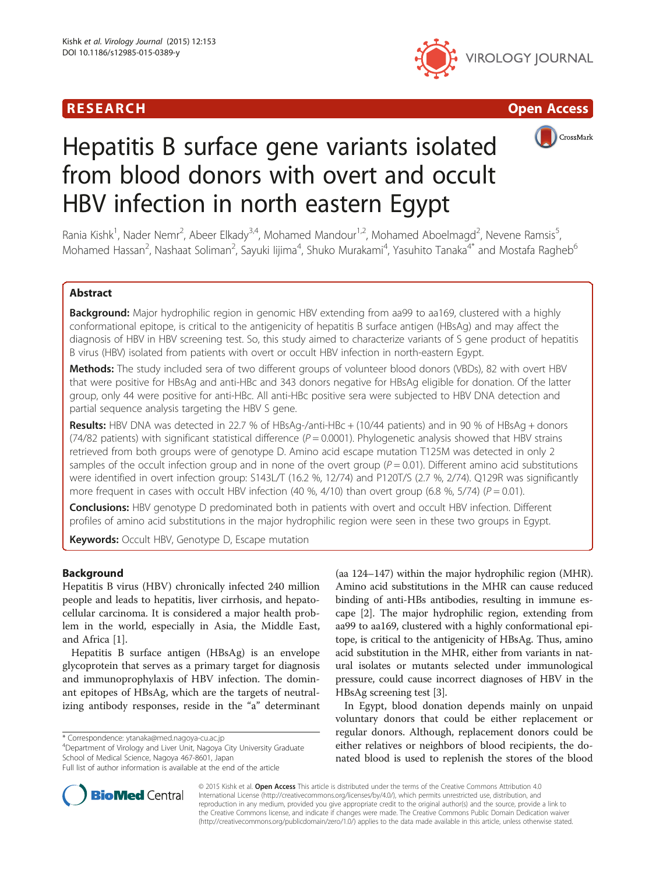# R E S EAR CH Open Access





# Hepatitis B surface gene variants isolated from blood donors with overt and occult HBV infection in north eastern Egypt

Rania Kishk<sup>1</sup>, Nader Nemr<sup>2</sup>, Abeer Elkady<sup>3,4</sup>, Mohamed Mandour<sup>1,2</sup>, Mohamed Aboelmagd<sup>2</sup>, Nevene Ramsis<sup>5</sup> , Mohamed Hassan<sup>2</sup>, Nashaat Soliman<sup>2</sup>, Sayuki Iijima<sup>4</sup>, Shuko Murakami<sup>4</sup>, Yasuhito Tanaka<sup>4\*</sup> and Mostafa Ragheb<sup>6</sup>

# Abstract

Background: Major hydrophilic region in genomic HBV extending from aa99 to aa169, clustered with a highly conformational epitope, is critical to the antigenicity of hepatitis B surface antigen (HBsAg) and may affect the diagnosis of HBV in HBV screening test. So, this study aimed to characterize variants of S gene product of hepatitis B virus (HBV) isolated from patients with overt or occult HBV infection in north-eastern Egypt.

Methods: The study included sera of two different groups of volunteer blood donors (VBDs), 82 with overt HBV that were positive for HBsAg and anti-HBc and 343 donors negative for HBsAg eligible for donation. Of the latter group, only 44 were positive for anti-HBc. All anti-HBc positive sera were subjected to HBV DNA detection and partial sequence analysis targeting the HBV S gene.

Results: HBV DNA was detected in 22.7 % of HBsAg-/anti-HBc + (10/44 patients) and in 90 % of HBsAg + donors (74/82 patients) with significant statistical difference ( $P = 0.0001$ ). Phylogenetic analysis showed that HBV strains retrieved from both groups were of genotype D. Amino acid escape mutation T125M was detected in only 2 samples of the occult infection group and in none of the overt group  $(P = 0.01)$ . Different amino acid substitutions were identified in overt infection group: S143L/T (16.2 %, 12/74) and P120T/S (2.7 %, 2/74). Q129R was significantly more frequent in cases with occult HBV infection (40 %, 4/10) than overt group (6.8 %, 5/74) ( $P = 0.01$ ).

**Conclusions:** HBV genotype D predominated both in patients with overt and occult HBV infection. Different profiles of amino acid substitutions in the major hydrophilic region were seen in these two groups in Egypt.

Keywords: Occult HBV, Genotype D, Escape mutation

# Background

Hepatitis B virus (HBV) chronically infected 240 million people and leads to hepatitis, liver cirrhosis, and hepatocellular carcinoma. It is considered a major health problem in the world, especially in Asia, the Middle East, and Africa [[1\]](#page-6-0).

Hepatitis B surface antigen (HBsAg) is an envelope glycoprotein that serves as a primary target for diagnosis and immunoprophylaxis of HBV infection. The dominant epitopes of HBsAg, which are the targets of neutralizing antibody responses, reside in the "a" determinant

\* Correspondence: [ytanaka@med.nagoya-cu.ac.jp](mailto:ytanaka@med.nagoya-cu.ac.jp) <sup>4</sup>

<sup>4</sup>Department of Virology and Liver Unit, Nagoya City University Graduate School of Medical Science, Nagoya 467-8601, Japan

(aa 124–147) within the major hydrophilic region (MHR). Amino acid substitutions in the MHR can cause reduced binding of anti-HBs antibodies, resulting in immune escape [\[2](#page-6-0)]. The major hydrophilic region, extending from aa99 to aa169, clustered with a highly conformational epitope, is critical to the antigenicity of HBsAg. Thus, amino acid substitution in the MHR, either from variants in natural isolates or mutants selected under immunological pressure, could cause incorrect diagnoses of HBV in the HBsAg screening test [\[3](#page-6-0)].

In Egypt, blood donation depends mainly on unpaid voluntary donors that could be either replacement or regular donors. Although, replacement donors could be either relatives or neighbors of blood recipients, the donated blood is used to replenish the stores of the blood



© 2015 Kishk et al. Open Access This article is distributed under the terms of the Creative Commons Attribution 4.0 International License [\(http://creativecommons.org/licenses/by/4.0/](http://creativecommons.org/licenses/by/4.0/)), which permits unrestricted use, distribution, and reproduction in any medium, provided you give appropriate credit to the original author(s) and the source, provide a link to the Creative Commons license, and indicate if changes were made. The Creative Commons Public Domain Dedication waiver [\(http://creativecommons.org/publicdomain/zero/1.0/](http://creativecommons.org/publicdomain/zero/1.0/)) applies to the data made available in this article, unless otherwise stated.

Full list of author information is available at the end of the article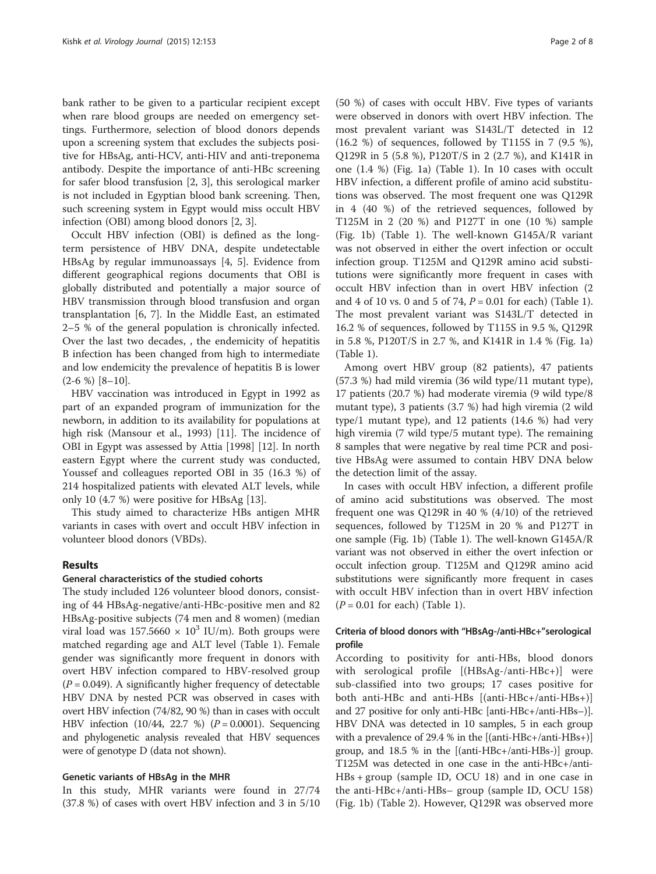bank rather to be given to a particular recipient except when rare blood groups are needed on emergency settings. Furthermore, selection of blood donors depends upon a screening system that excludes the subjects positive for HBsAg, anti-HCV, anti-HIV and anti-treponema antibody. Despite the importance of anti-HBc screening for safer blood transfusion [[2, 3\]](#page-6-0), this serological marker is not included in Egyptian blood bank screening. Then, such screening system in Egypt would miss occult HBV infection (OBI) among blood donors [[2, 3\]](#page-6-0).

Occult HBV infection (OBI) is defined as the longterm persistence of HBV DNA, despite undetectable HBsAg by regular immunoassays [[4, 5](#page-6-0)]. Evidence from different geographical regions documents that OBI is globally distributed and potentially a major source of HBV transmission through blood transfusion and organ transplantation [[6, 7\]](#page-6-0). In the Middle East, an estimated 2–5 % of the general population is chronically infected. Over the last two decades, , the endemicity of hepatitis B infection has been changed from high to intermediate and low endemicity the prevalence of hepatitis B is lower  $(2-6\%)$  [\[8](#page-6-0)-[10\]](#page-6-0).

HBV vaccination was introduced in Egypt in 1992 as part of an expanded program of immunization for the newborn, in addition to its availability for populations at high risk (Mansour et al., 1993) [[11\]](#page-6-0). The incidence of OBI in Egypt was assessed by Attia [1998] [[12](#page-6-0)]. In north eastern Egypt where the current study was conducted, Youssef and colleagues reported OBI in 35 (16.3 %) of 214 hospitalized patients with elevated ALT levels, while only 10 (4.7 %) were positive for HBsAg [[13\]](#page-6-0).

This study aimed to characterize HBs antigen MHR variants in cases with overt and occult HBV infection in volunteer blood donors (VBDs).

# Results

## General characteristics of the studied cohorts

The study included 126 volunteer blood donors, consisting of 44 HBsAg-negative/anti-HBc-positive men and 82 HBsAg-positive subjects (74 men and 8 women) (median viral load was  $157.5660 \times 10^3$  IU/m). Both groups were matched regarding age and ALT level (Table [1](#page-2-0)). Female gender was significantly more frequent in donors with overt HBV infection compared to HBV-resolved group  $(P = 0.049)$ . A significantly higher frequency of detectable HBV DNA by nested PCR was observed in cases with overt HBV infection (74/82, 90 %) than in cases with occult HBV infection  $(10/44, 22.7 %)$   $(P = 0.0001)$ . Sequencing and phylogenetic analysis revealed that HBV sequences were of genotype D (data not shown).

### Genetic variants of HBsAg in the MHR

In this study, MHR variants were found in 27/74 (37.8 %) of cases with overt HBV infection and 3 in 5/10

(50 %) of cases with occult HBV. Five types of variants were observed in donors with overt HBV infection. The most prevalent variant was S143L/T detected in 12 (16.2 %) of sequences, followed by T115S in 7 (9.5 %), Q129R in 5 (5.8 %), P120T/S in 2 (2.7 %), and K141R in one (1.4 %) (Fig. [1a](#page-3-0)) (Table [1](#page-2-0)). In 10 cases with occult HBV infection, a different profile of amino acid substitutions was observed. The most frequent one was Q129R in 4 (40 %) of the retrieved sequences, followed by T125M in 2 (20 %) and P127T in one (10 %) sample (Fig. [1b\)](#page-3-0) (Table [1\)](#page-2-0). The well-known G145A/R variant was not observed in either the overt infection or occult infection group. T125M and Q129R amino acid substitutions were significantly more frequent in cases with occult HBV infection than in overt HBV infection (2 and 4 of [1](#page-2-0)0 vs. 0 and 5 of 74,  $P = 0.01$  for each) (Table 1). The most prevalent variant was S143L/T detected in 16.2 % of sequences, followed by T115S in 9.5 %, Q129R in 5.8 %, P120T/S in 2.7 %, and K141R in 1.4 % (Fig. [1a](#page-3-0)) (Table [1\)](#page-2-0).

Among overt HBV group (82 patients), 47 patients (57.3 %) had mild viremia (36 wild type/11 mutant type), 17 patients (20.7 %) had moderate viremia (9 wild type/8 mutant type), 3 patients (3.7 %) had high viremia (2 wild type/1 mutant type), and 12 patients (14.6 %) had very high viremia (7 wild type/5 mutant type). The remaining 8 samples that were negative by real time PCR and positive HBsAg were assumed to contain HBV DNA below the detection limit of the assay.

In cases with occult HBV infection, a different profile of amino acid substitutions was observed. The most frequent one was Q129R in 40 % (4/10) of the retrieved sequences, followed by T125M in 20 % and P127T in one sample (Fig. [1b](#page-3-0)) (Table [1](#page-2-0)). The well-known G145A/R variant was not observed in either the overt infection or occult infection group. T125M and Q129R amino acid substitutions were significantly more frequent in cases with occult HBV infection than in overt HBV infection  $(P = 0.01$  for each) (Table [1](#page-2-0)).

# Criteria of blood donors with "HBsAg-/anti-HBc+"serological profile

According to positivity for anti-HBs, blood donors with serological profile [(HBsAg-/anti-HBc+)] were sub-classified into two groups; 17 cases positive for both anti-HBc and anti-HBs [(anti-HBc+/anti-HBs+)] and 27 positive for only anti-HBc [anti-HBc+/anti-HBs–)]. HBV DNA was detected in 10 samples, 5 in each group with a prevalence of 29.4 % in the [(anti-HBc+/anti-HBs+)] group, and 18.5 % in the [(anti-HBc+/anti-HBs-)] group. T125M was detected in one case in the anti-HBc+/anti-HBs + group (sample ID, OCU 18) and in one case in the anti-HBc+/anti-HBs– group (sample ID, OCU 158) (Fig. [1b](#page-3-0)) (Table [2](#page-4-0)). However, Q129R was observed more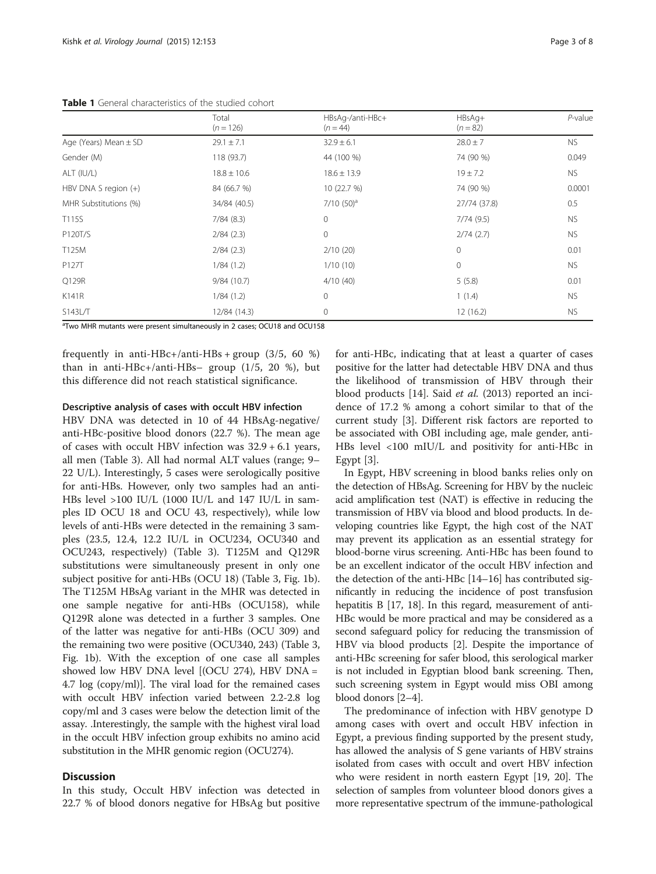<span id="page-2-0"></span>Table 1 General characteristics of the studied cohort

|                           | Total<br>$(n = 126)$ | HBsAq-/anti-HBc+<br>$(n = 44)$ | HBsAg+<br>$(n = 82)$ | $P$ -value |
|---------------------------|----------------------|--------------------------------|----------------------|------------|
| Age (Years) Mean $\pm$ SD | $29.1 \pm 7.1$       | $32.9 \pm 6.1$                 | $28.0 \pm 7$         | <b>NS</b>  |
| Gender (M)                | 118 (93.7)           | 44 (100 %)                     | 74 (90 %)            | 0.049      |
| ALT (IU/L)                | $18.8 \pm 10.6$      | $18.6 \pm 13.9$                | $19 \pm 7.2$         | NS.        |
| HBV DNA S region $(+)$    | 84 (66.7 %)          | 10 (22.7 %)                    | 74 (90 %)            | 0.0001     |
| MHR Substitutions (%)     | 34/84 (40.5)         | $7/10$ (50) <sup>a</sup>       | 27/74 (37.8)         | 0.5        |
| T115S                     | 7/84(8.3)            | $\overline{0}$                 | 7/74(9.5)            | <b>NS</b>  |
| P120T/S                   | 2/84(2.3)            | $\mathbf 0$                    | 2/74(2.7)            | <b>NS</b>  |
| T125M                     | 2/84(2.3)            | 2/10(20)                       | $\circ$              | 0.01       |
| P127T                     | 1/84(1.2)            | 1/10(10)                       | $\mathbf 0$          | <b>NS</b>  |
| Q129R                     | 9/84(10.7)           | 4/10(40)                       | 5(5.8)               | 0.01       |
| K141R                     | 1/84(1.2)            | $\mathbf 0$                    | 1(1.4)               | <b>NS</b>  |
| S143L/T                   | 12/84 (14.3)         | 0                              | 12(16.2)             | <b>NS</b>  |

<sup>a</sup>Two MHR mutants were present simultaneously in 2 cases; OCU18 and OCU158

frequently in anti-HBc+/anti-HBs + group  $(3/5, 60 \%)$ than in anti-HBc+/anti-HBs– group (1/5, 20 %), but this difference did not reach statistical significance.

# Descriptive analysis of cases with occult HBV infection

HBV DNA was detected in 10 of 44 HBsAg-negative/ anti-HBc-positive blood donors (22.7 %). The mean age of cases with occult HBV infection was 32.9 + 6.1 years, all men (Table [3](#page-4-0)). All had normal ALT values (range; 9– 22 U/L). Interestingly, 5 cases were serologically positive for anti-HBs. However, only two samples had an anti-HBs level >100 IU/L (1000 IU/L and 147 IU/L in samples ID OCU 18 and OCU 43, respectively), while low levels of anti-HBs were detected in the remaining 3 samples (23.5, 12.4, 12.2 IU/L in OCU234, OCU340 and OCU243, respectively) (Table [3\)](#page-4-0). T125M and Q129R substitutions were simultaneously present in only one subject positive for anti-HBs (OCU 18) (Table [3,](#page-4-0) Fig. [1b](#page-3-0)). The T125M HBsAg variant in the MHR was detected in one sample negative for anti-HBs (OCU158), while Q129R alone was detected in a further 3 samples. One of the latter was negative for anti-HBs (OCU 309) and the remaining two were positive (OCU340, 243) (Table [3](#page-4-0), Fig. [1b\)](#page-3-0). With the exception of one case all samples showed low HBV DNA level [(OCU 274), HBV DNA = 4.7 log (copy/ml)]. The viral load for the remained cases with occult HBV infection varied between 2.2-2.8 log copy/ml and 3 cases were below the detection limit of the assay. .Interestingly, the sample with the highest viral load in the occult HBV infection group exhibits no amino acid substitution in the MHR genomic region (OCU274).

## **Discussion**

In this study, Occult HBV infection was detected in 22.7 % of blood donors negative for HBsAg but positive for anti-HBc, indicating that at least a quarter of cases positive for the latter had detectable HBV DNA and thus the likelihood of transmission of HBV through their blood products [\[14](#page-6-0)]. Said et al. (2013) reported an incidence of 17.2 % among a cohort similar to that of the current study [\[3](#page-6-0)]. Different risk factors are reported to be associated with OBI including age, male gender, anti-HBs level <100 mIU/L and positivity for anti-HBc in Egypt [[3\]](#page-6-0).

In Egypt, HBV screening in blood banks relies only on the detection of HBsAg. Screening for HBV by the nucleic acid amplification test (NAT) is effective in reducing the transmission of HBV via blood and blood products. In developing countries like Egypt, the high cost of the NAT may prevent its application as an essential strategy for blood-borne virus screening. Anti-HBc has been found to be an excellent indicator of the occult HBV infection and the detection of the anti-HBc [\[14](#page-6-0)–[16](#page-6-0)] has contributed significantly in reducing the incidence of post transfusion hepatitis B [[17](#page-6-0), [18\]](#page-6-0). In this regard, measurement of anti-HBc would be more practical and may be considered as a second safeguard policy for reducing the transmission of HBV via blood products [\[2](#page-6-0)]. Despite the importance of anti-HBc screening for safer blood, this serological marker is not included in Egyptian blood bank screening. Then, such screening system in Egypt would miss OBI among blood donors [[2](#page-6-0)–[4](#page-6-0)].

The predominance of infection with HBV genotype D among cases with overt and occult HBV infection in Egypt, a previous finding supported by the present study, has allowed the analysis of S gene variants of HBV strains isolated from cases with occult and overt HBV infection who were resident in north eastern Egypt [\[19](#page-6-0), [20](#page-7-0)]. The selection of samples from volunteer blood donors gives a more representative spectrum of the immune-pathological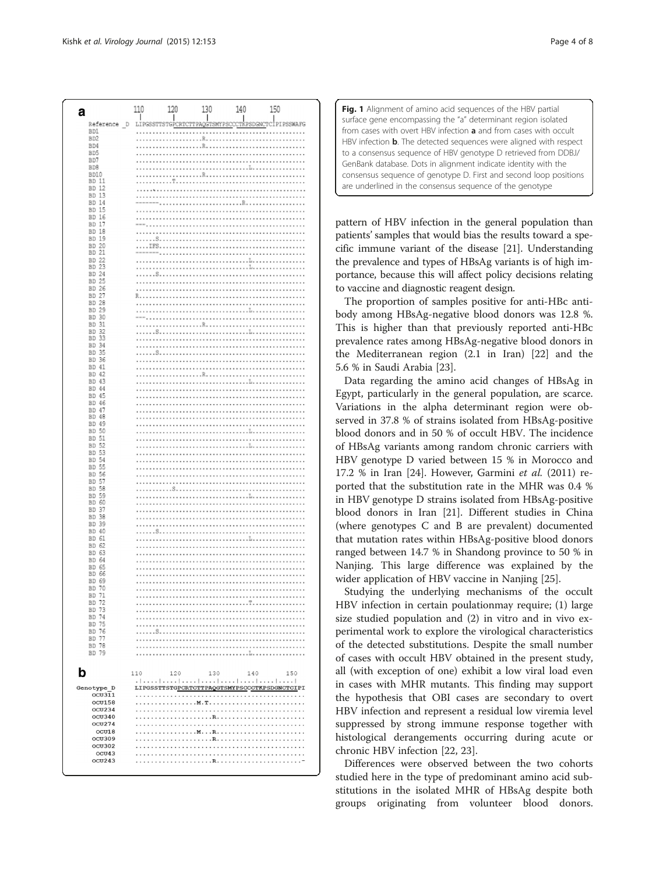<span id="page-3-0"></span>

| а                                  | 110 | 120  | 130 | 140         | 150                                          |
|------------------------------------|-----|------|-----|-------------|----------------------------------------------|
| Reference<br>D                     | LIP | TGPC | G   | <br>TKPSDGN | .<br>IPIPSSWAFG                              |
| B <sub>D1</sub>                    |     |      |     |             |                                              |
| BD <sub>2</sub><br>BD4             |     |      | .R. |             |                                              |
| BD5                                |     |      |     |             |                                              |
| BD7                                |     |      |     |             |                                              |
| BD <sub>8</sub><br>BD10            |     |      |     |             |                                              |
| BD 11                              |     |      |     |             |                                              |
| BD 12<br>BD 13                     |     |      |     |             |                                              |
| BD 14                              |     |      |     |             |                                              |
| 15<br>BD.                          |     |      |     |             |                                              |
| 16<br>BD.<br>BD 17                 |     |      |     | .           |                                              |
| <b>BD 18</b>                       |     |      |     |             |                                              |
| BD 19<br>20<br>BD.                 |     |      |     |             |                                              |
| 21<br>BD.                          |     |      |     |             |                                              |
| BD.<br>22<br>23<br>BD.             |     |      |     |             |                                              |
| BD 24                              |     |      |     |             |                                              |
| BD 25                              |     |      |     |             |                                              |
| BD 26<br>27<br>BD.                 |     |      |     |             |                                              |
| <b>BD</b><br>28                    |     |      |     |             |                                              |
| 29<br>BD.                          |     |      |     |             |                                              |
| BD 30<br>31<br><b>BD</b>           |     |      |     |             |                                              |
| 32<br><b>BD</b>                    |     |      |     |             |                                              |
| 33<br>BD<br>34<br>BD.              |     |      |     |             |                                              |
| 35<br>BD.                          |     |      |     |             |                                              |
| BD 36<br>BD 41                     |     |      |     |             |                                              |
| BD 42                              |     |      |     |             |                                              |
| BD 43                              |     |      |     |             |                                              |
| BD 44<br>BD 45                     |     |      |     |             |                                              |
| BD 46                              |     |      |     |             |                                              |
| <b>BD</b><br>47<br>48<br><b>BD</b> |     |      |     |             |                                              |
| BD 49                              |     |      |     |             |                                              |
| 50<br>BD.<br>51<br><b>BD</b>       |     |      |     |             |                                              |
| 52<br><b>BD</b>                    |     |      |     |             |                                              |
| <b>BD</b><br>53                    |     |      |     |             |                                              |
| <b>BD</b><br>54<br>55<br>BD.       |     |      |     |             |                                              |
| <b>BD</b><br>56                    |     |      |     |             |                                              |
| <b>BD</b><br>57<br>58<br><b>BD</b> |     |      |     |             |                                              |
| <b>BD</b><br>59                    |     |      |     |             |                                              |
| 60<br>BD<br>37<br><b>BD</b>        |     |      |     |             |                                              |
| 38<br><b>BD</b>                    |     |      |     |             |                                              |
| 39<br>BD.<br>BD 40                 |     |      |     |             |                                              |
| BD.<br>61                          |     |      |     |             |                                              |
| <b>BD</b><br>62                    |     |      |     |             |                                              |
| <b>BD</b><br>63<br>BD.<br>64       |     |      |     |             |                                              |
| <b>BD</b><br>65                    |     |      |     |             |                                              |
| 66<br><b>BD</b><br>BD 69           |     |      |     |             |                                              |
| BD 70                              |     |      |     |             |                                              |
| BD 71<br>BD 72                     |     |      |     |             |                                              |
| BD 73                              |     |      |     |             |                                              |
| BD 74<br>BD 75                     |     |      |     |             |                                              |
| BD 76                              |     |      |     |             |                                              |
| BD 77                              |     |      |     |             |                                              |
| BD 78<br>BD 79                     |     |      |     |             |                                              |
|                                    |     |      |     |             |                                              |
| b                                  | 110 | 120  | 130 | 140         | 150                                          |
|                                    |     |      |     |             |                                              |
| Genotype D<br><b>OCU311</b>        |     |      |     |             | LIPGSSTTSTGPCRTCTTPAQGTSMYPSCCCTKPSDGNCTCIPI |
| ocu158                             |     |      |     |             |                                              |
| OCU234<br>OCU340                   |     |      |     |             |                                              |
| OCU274                             |     |      |     |             |                                              |
| OCU18                              |     |      |     |             |                                              |
| <b>OCU309</b><br>ocu302            |     |      |     |             |                                              |
| OCU43                              |     |      |     |             |                                              |
| OCU243                             |     |      |     |             |                                              |
|                                    |     |      |     |             |                                              |

Fig. 1 Alignment of amino acid sequences of the HBV partial surface gene encompassing the "a" determinant region isolated from cases with overt HBV infection a and from cases with occult HBV infection **b**. The detected sequences were aligned with respect to a consensus sequence of HBV genotype D retrieved from DDBJ/ GenBank database. Dots in alignment indicate identity with the consensus sequence of genotype D. First and second loop positions are underlined in the consensus sequence of the genotype

pattern of HBV infection in the general population than patients' samples that would bias the results toward a specific immune variant of the disease [\[21\]](#page-7-0). Understanding the prevalence and types of HBsAg variants is of high importance, because this will affect policy decisions relating to vaccine and diagnostic reagent design.

The proportion of samples positive for anti-HBc antibody among HBsAg-negative blood donors was 12.8 %. This is higher than that previously reported anti-HBc prevalence rates among HBsAg-negative blood donors in the Mediterranean region (2.1 in Iran) [[22\]](#page-7-0) and the 5.6 % in Saudi Arabia [[23\]](#page-7-0).

Data regarding the amino acid changes of HBsAg in Egypt, particularly in the general population, are scarce. Variations in the alpha determinant region were observed in 37.8 % of strains isolated from HBsAg-positive blood donors and in 50 % of occult HBV. The incidence of HBsAg variants among random chronic carriers with HBV genotype D varied between 15 % in Morocco and 17.2 % in Iran [\[24](#page-7-0)]. However, Garmini et al. (2011) reported that the substitution rate in the MHR was 0.4 % in HBV genotype D strains isolated from HBsAg-positive blood donors in Iran [\[21\]](#page-7-0). Different studies in China (where genotypes C and B are prevalent) documented that mutation rates within HBsAg-positive blood donors ranged between 14.7 % in Shandong province to 50 % in Nanjing. This large difference was explained by the wider application of HBV vaccine in Nanjing [\[25](#page-7-0)].

Studying the underlying mechanisms of the occult HBV infection in certain poulationmay require; (1) large size studied population and (2) in vitro and in vivo experimental work to explore the virological characteristics of the detected substitutions. Despite the small number of cases with occult HBV obtained in the present study, all (with exception of one) exhibit a low viral load even in cases with MHR mutants. This finding may support the hypothesis that OBI cases are secondary to overt HBV infection and represent a residual low viremia level suppressed by strong immune response together with histological derangements occurring during acute or chronic HBV infection [[22, 23](#page-7-0)].

Differences were observed between the two cohorts studied here in the type of predominant amino acid substitutions in the isolated MHR of HBsAg despite both groups originating from volunteer blood donors.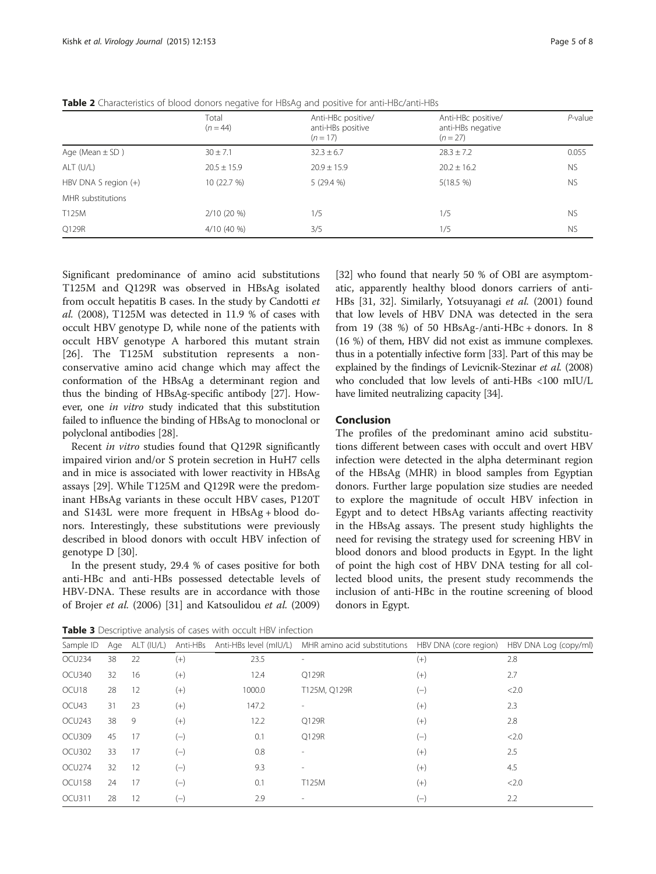|                              | Total<br>$(n = 44)$ | Anti-HBc positive/<br>anti-HBs positive<br>$(n = 17)$ | Anti-HBc positive/<br>anti-HBs negative<br>$(n = 27)$ | $P$ -value |
|------------------------------|---------------------|-------------------------------------------------------|-------------------------------------------------------|------------|
| Age (Mean $\pm$ SD)          | $30 \pm 7.1$        | $32.3 \pm 6.7$                                        | $28.3 \pm 7.2$                                        | 0.055      |
| ALT (U/L)<br>$20.5 \pm 15.9$ |                     | $20.9 + 15.9$                                         | $20.2 \pm 16.2$                                       | <b>NS</b>  |
| HBV DNA S region $(+)$       | 10 (22.7 %)         | 5(29.4%)                                              | 5(18.5 %)                                             | <b>NS</b>  |
| MHR substitutions            |                     |                                                       |                                                       |            |
| T125M<br>$2/10(20\%)$        |                     | 1/5                                                   | 1/5                                                   | <b>NS</b>  |
| Q129R                        | $4/10(40\%)$        | 3/5                                                   | 1/5                                                   | <b>NS</b>  |

<span id="page-4-0"></span>Table 2 Characteristics of blood donors negative for HBsAg and positive for anti-HBc/anti-HBs

Significant predominance of amino acid substitutions T125M and Q129R was observed in HBsAg isolated from occult hepatitis B cases. In the study by Candotti et al. (2008), T125M was detected in 11.9 % of cases with occult HBV genotype D, while none of the patients with occult HBV genotype A harbored this mutant strain [[26\]](#page-7-0). The T125M substitution represents a nonconservative amino acid change which may affect the conformation of the HBsAg a determinant region and thus the binding of HBsAg-specific antibody [[27](#page-7-0)]. However, one in vitro study indicated that this substitution failed to influence the binding of HBsAg to monoclonal or polyclonal antibodies [[28](#page-7-0)].

Recent in vitro studies found that Q129R significantly impaired virion and/or S protein secretion in HuH7 cells and in mice is associated with lower reactivity in HBsAg assays [[29](#page-7-0)]. While T125M and Q129R were the predominant HBsAg variants in these occult HBV cases, P120T and S143L were more frequent in HBsAg + blood donors. Interestingly, these substitutions were previously described in blood donors with occult HBV infection of genotype D [[30\]](#page-7-0).

In the present study, 29.4 % of cases positive for both anti-HBc and anti-HBs possessed detectable levels of HBV-DNA. These results are in accordance with those of Brojer et al. (2006) [\[31\]](#page-7-0) and Katsoulidou et al. (2009) [[32\]](#page-7-0) who found that nearly 50 % of OBI are asymptomatic, apparently healthy blood donors carriers of anti-HBs [\[31, 32\]](#page-7-0). Similarly, Yotsuyanagi et al. (2001) found that low levels of HBV DNA was detected in the sera from 19 (38 %) of 50 HBsAg-/anti-HBc + donors. In 8 (16 %) of them, HBV did not exist as immune complexes. thus in a potentially infective form [[33](#page-7-0)]. Part of this may be explained by the findings of Levicnik-Stezinar et al. (2008) who concluded that low levels of anti-HBs <100 mIU/L have limited neutralizing capacity [\[34\]](#page-7-0).

# Conclusion

The profiles of the predominant amino acid substitutions different between cases with occult and overt HBV infection were detected in the alpha determinant region of the HBsAg (MHR) in blood samples from Egyptian donors. Further large population size studies are needed to explore the magnitude of occult HBV infection in Egypt and to detect HBsAg variants affecting reactivity in the HBsAg assays. The present study highlights the need for revising the strategy used for screening HBV in blood donors and blood products in Egypt. In the light of point the high cost of HBV DNA testing for all collected blood units, the present study recommends the inclusion of anti-HBc in the routine screening of blood donors in Egypt.

Table 3 Descriptive analysis of cases with occult HBV infection

| Sample ID |    | Age ALT (IU/L) |          |        | Anti-HBs Anti-HBs level (mIU/L) MHR amino acid substitutions HBV DNA (core region) HBV DNA Log (copy/ml) |       |       |
|-----------|----|----------------|----------|--------|----------------------------------------------------------------------------------------------------------|-------|-------|
| OCU234    | 38 | -22            | $^{(+)}$ | 23.5   |                                                                                                          | $(+)$ | 2.8   |
| OCU340    | 32 | 16             | $(+)$    | 12.4   | Q129R                                                                                                    | $(+)$ | 2.7   |
| OCU18     | 28 | -12            | $(+)$    | 1000.0 | T125M, Q129R                                                                                             | $(-)$ | < 2.0 |
| OCU43     | 31 | 23             | $(+)$    | 147.2  |                                                                                                          | $(+)$ | 2.3   |
| OCU243    | 38 | -9             | $(+)$    | 12.2   | Q129R                                                                                                    | $(+)$ | 2.8   |
| OCU309    | 45 | - 17           | $(-)$    | 0.1    | Q129R                                                                                                    | $(-)$ | < 2.0 |
| OCU302    | 33 | -17            | $(-)$    | 0.8    | $\overline{\phantom{a}}$                                                                                 | $(+)$ | 2.5   |
| OCU274    | 32 | 12             | $(-)$    | 9.3    |                                                                                                          | $(+)$ | 4.5   |
| OCU158    | 24 | -17            | $(-)$    | 0.1    | T125M                                                                                                    | $(+)$ | < 2.0 |
| OCU311    | 28 | 12             | $(-)$    | 2.9    |                                                                                                          | $(-)$ | 2.2   |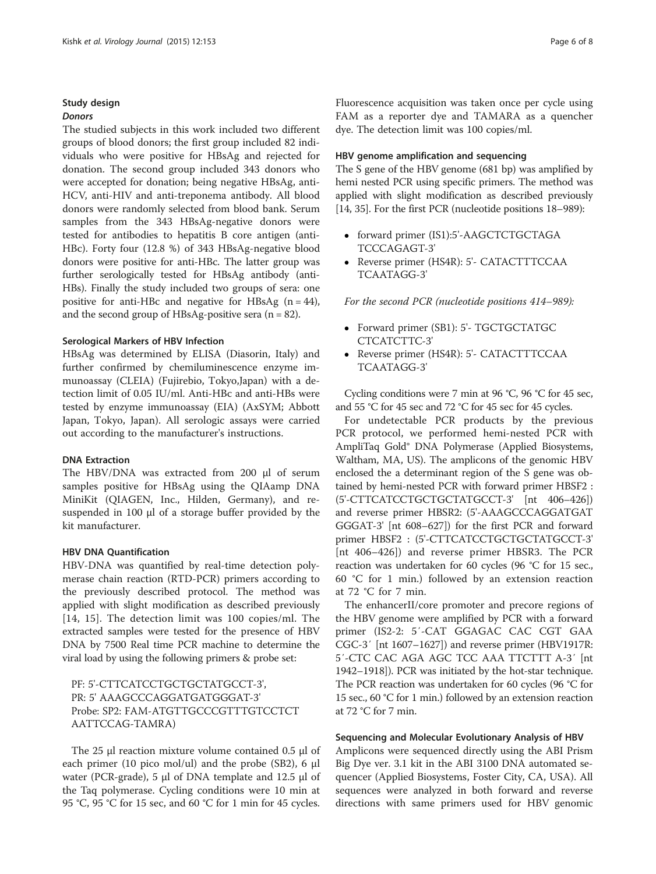# Study design

# Donors

The studied subjects in this work included two different groups of blood donors; the first group included 82 individuals who were positive for HBsAg and rejected for donation. The second group included 343 donors who were accepted for donation; being negative HBsAg, anti-HCV, anti-HIV and anti-treponema antibody. All blood donors were randomly selected from blood bank. Serum samples from the 343 HBsAg-negative donors were tested for antibodies to hepatitis B core antigen (anti-HBc). Forty four (12.8 %) of 343 HBsAg-negative blood donors were positive for anti-HBc. The latter group was further serologically tested for HBsAg antibody (anti-HBs). Finally the study included two groups of sera: one positive for anti-HBc and negative for HBsAg  $(n = 44)$ , and the second group of HBsAg-positive sera  $(n = 82)$ .

# Serological Markers of HBV Infection

HBsAg was determined by ELISA (Diasorin, Italy) and further confirmed by chemiluminescence enzyme immunoassay (CLEIA) (Fujirebio, Tokyo,Japan) with a detection limit of 0.05 IU/ml. Anti-HBc and anti-HBs were tested by enzyme immunoassay (EIA) (AxSYM; Abbott Japan, Tokyo, Japan). All serologic assays were carried out according to the manufacturer's instructions.

# DNA Extraction

The HBV/DNA was extracted from 200 μl of serum samples positive for HBsAg using the QIAamp DNA MiniKit (QIAGEN, Inc., Hilden, Germany), and resuspended in 100 μl of a storage buffer provided by the kit manufacturer.

# HBV DNA Quantification

HBV-DNA was quantified by real-time detection polymerase chain reaction (RTD-PCR) primers according to the previously described protocol. The method was applied with slight modification as described previously [[14](#page-6-0), [15](#page-6-0)]. The detection limit was 100 copies/ml. The extracted samples were tested for the presence of HBV DNA by 7500 Real time PCR machine to determine the viral load by using the following primers & probe set:

PF: 5'-CTTCATCCTGCTGCTATGCCT-3', PR: 5' AAAGCCCAGGATGATGGGAT-3' Probe: SP2: FAM-ATGTTGCCCGTTTGTCCTCT AATTCCAG-TAMRA)

The 25 μl reaction mixture volume contained 0.5 μl of each primer (10 pico mol/ul) and the probe (SB2), 6 μl water (PCR-grade), 5 μl of DNA template and 12.5 μl of the Taq polymerase. Cycling conditions were 10 min at 95 °C, 95 °C for 15 sec, and 60 °C for 1 min for 45 cycles.

Fluorescence acquisition was taken once per cycle using FAM as a reporter dye and TAMARA as a quencher dye. The detection limit was 100 copies/ml.

# HBV genome amplification and sequencing

The S gene of the HBV genome (681 bp) was amplified by hemi nested PCR using specific primers. The method was applied with slight modification as described previously [[14](#page-6-0), [35\]](#page-7-0). For the first PCR (nucleotide positions 18–989):

- forward primer (IS1):5'-AAGCTCTGCTAGA TCCCAGAGT-3'
- Reverse primer (HS4R): 5'- CATACTTTCCAA TCAATAGG-3'

For the second PCR (nucleotide positions 414–989):

- Forward primer (SB1): 5'- TGCTGCTATGC CTCATCTTC-3'
- Reverse primer (HS4R): 5'- CATACTTTCCAA TCAATAGG-3'

Cycling conditions were 7 min at 96 °C, 96 °C for 45 sec, and 55 °C for 45 sec and 72 °C for 45 sec for 45 cycles.

For undetectable PCR products by the previous PCR protocol, we performed hemi-nested PCR with AmpliTaq Gold® DNA Polymerase (Applied Biosystems, Waltham, MA, US). The amplicons of the genomic HBV enclosed the a determinant region of the S gene was obtained by hemi-nested PCR with forward primer HBSF2 : (5'-CTTCATCCTGCTGCTATGCCT-3' [nt 406–426]) and reverse primer HBSR2: (5'-AAAGCCCAGGATGAT GGGAT-3' [nt 608–627]) for the first PCR and forward primer HBSF2 : (5'-CTTCATCCTGCTGCTATGCCT-3' [nt 406–426]) and reverse primer HBSR3. The PCR reaction was undertaken for 60 cycles (96 °C for 15 sec., 60 °C for 1 min.) followed by an extension reaction at 72 °C for 7 min.

The enhancerII/core promoter and precore regions of the HBV genome were amplified by PCR with a forward primer (IS2-2: 5′-CAT GGAGAC CAC CGT GAA CGC-3′ [nt 1607–1627]) and reverse primer (HBV1917R: 5′-CTC CAC AGA AGC TCC AAA TTCTTT A-3′ [nt 1942–1918]). PCR was initiated by the hot-star technique. The PCR reaction was undertaken for 60 cycles (96 °C for 15 sec., 60 °C for 1 min.) followed by an extension reaction at 72 °C for 7 min.

# Sequencing and Molecular Evolutionary Analysis of HBV

Amplicons were sequenced directly using the ABI Prism Big Dye ver. 3.1 kit in the ABI 3100 DNA automated sequencer (Applied Biosystems, Foster City, CA, USA). All sequences were analyzed in both forward and reverse directions with same primers used for HBV genomic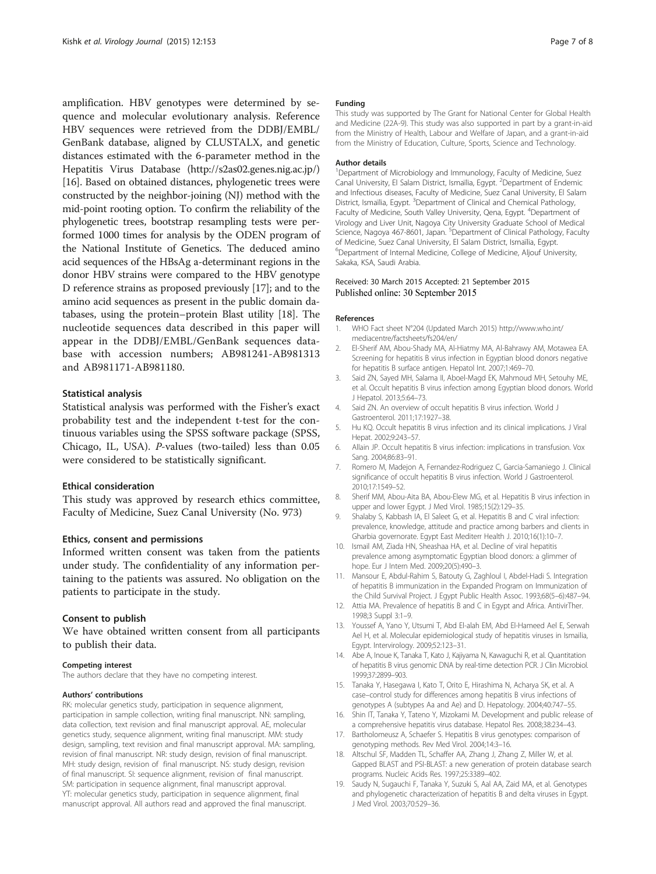<span id="page-6-0"></span>amplification. HBV genotypes were determined by sequence and molecular evolutionary analysis. Reference HBV sequences were retrieved from the DDBJ/EMBL/ GenBank database, aligned by CLUSTALX, and genetic distances estimated with the 6-parameter method in the Hepatitis Virus Database [\(http://s2as02.genes.nig.ac.jp/](http://s2as02.genes.nig.ac.jp/)) [16]. Based on obtained distances, phylogenetic trees were constructed by the neighbor-joining (NJ) method with the mid-point rooting option. To confirm the reliability of the phylogenetic trees, bootstrap resampling tests were performed 1000 times for analysis by the ODEN program of the National Institute of Genetics. The deduced amino acid sequences of the HBsAg a-determinant regions in the donor HBV strains were compared to the HBV genotype D reference strains as proposed previously [17]; and to the amino acid sequences as present in the public domain databases, using the protein–protein Blast utility [18]. The nucleotide sequences data described in this paper will appear in the DDBJ/EMBL/GenBank sequences database with accession numbers; AB981241-AB981313 and AB981171-AB981180.

# Statistical analysis

Statistical analysis was performed with the Fisher's exact probability test and the independent t-test for the continuous variables using the SPSS software package (SPSS, Chicago, IL, USA). P-values (two-tailed) less than 0.05 were considered to be statistically significant.

#### Ethical consideration

This study was approved by research ethics committee, Faculty of Medicine, Suez Canal University (No. 973)

# Ethics, consent and permissions

Informed written consent was taken from the patients under study. The confidentiality of any information pertaining to the patients was assured. No obligation on the patients to participate in the study.

# Consent to publish

We have obtained written consent from all participants to publish their data.

#### Competing interest

The authors declare that they have no competing interest.

#### Authors' contributions

RK: molecular genetics study, participation in sequence alignment, participation in sample collection, writing final manuscript. NN: sampling, data collection, text revision and final manuscript approval. AE, molecular genetics study, sequence alignment, writing final manuscript. MM: study design, sampling, text revision and final manuscript approval. MA: sampling, revision of final manuscript. NR: study design, revision of final manuscript. MH: study design, revision of final manuscript. NS: study design, revision of final manuscript. SI: sequence alignment, revision of final manuscript. SM: participation in sequence alignment, final manuscript approval. YT: molecular genetics study, participation in sequence alignment, final manuscript approval. All authors read and approved the final manuscript.

#### Funding

This study was supported by The Grant for National Center for Global Health and Medicine (22A-9). This study was also supported in part by a grant-in-aid from the Ministry of Health, Labour and Welfare of Japan, and a grant-in-aid from the Ministry of Education, Culture, Sports, Science and Technology.

#### Author details

<sup>1</sup>Department of Microbiology and Immunology, Faculty of Medicine, Suez Canal University, El Salam District, Ismaïlia, Egypt. <sup>2</sup>Department of Endemic and Infectious diseases, Faculty of Medicine, Suez Canal University, El Salam District, Ismaïlia, Egypt. <sup>3</sup>Department of Clinical and Chemical Pathology Faculty of Medicine, South Valley University, Qena, Egypt. <sup>4</sup>Department of Virology and Liver Unit, Nagoya City University Graduate School of Medical Science, Nagoya 467-8601, Japan. <sup>5</sup>Department of Clinical Pathology, Faculty of Medicine, Suez Canal University, El Salam District, Ismaïlia, Egypt. 6 Department of Internal Medicine, College of Medicine, Aljouf University, Sakaka, KSA, Saudi Arabia.

#### Received: 30 March 2015 Accepted: 21 September 2015 Published online: 30 September 2015

#### References

- 1. WHO Fact sheet N°204 (Updated March 2015) [http://www.who.int/](http://www.who.int/mediacentre/factsheets/fs204/en/) [mediacentre/factsheets/fs204/en/](http://www.who.int/mediacentre/factsheets/fs204/en/)
- 2. El-Sherif AM, Abou-Shady MA, Al-Hiatmy MA, Al-Bahrawy AM, Motawea EA. Screening for hepatitis B virus infection in Egyptian blood donors negative for hepatitis B surface antigen. Hepatol Int. 2007;1:469–70.
- 3. Said ZN, Sayed MH, Salama II, Aboel-Magd EK, Mahmoud MH, Setouhy ME, et al. Occult hepatitis B virus infection among Egyptian blood donors. World J Hepatol. 2013;5:64–73.
- 4. Said ZN. An overview of occult hepatitis B virus infection. World J Gastroenterol. 2011;17:1927–38.
- 5. Hu KQ. Occult hepatitis B virus infection and its clinical implications. J Viral Hepat. 2002;9:243–57.
- 6. Allain JP. Occult hepatitis B virus infection: implications in transfusion. Vox Sang. 2004;86:83–91.
- 7. Romero M, Madejon A, Fernandez-Rodriguez C, Garcia-Samaniego J. Clinical significance of occult hepatitis B virus infection. World J Gastroenterol. 2010;17:1549–52.
- 8. Sherif MM, Abou-Aita BA, Abou-Elew MG, et al. Hepatitis B virus infection in upper and lower Egypt. J Med Virol. 1985;15(2):129–35.
- 9. Shalaby S, Kabbash IA, El Saleet G, et al. Hepatitis B and C viral infection: prevalence, knowledge, attitude and practice among barbers and clients in Gharbia governorate. Egypt East Mediterr Health J. 2010;16(1):10–7.
- 10. Ismail AM, Ziada HN, Sheashaa HA, et al. Decline of viral hepatitis prevalence among asymptomatic Egyptian blood donors: a glimmer of hope. Eur J Intern Med. 2009;20(5):490–3.
- 11. Mansour E, Abdul-Rahim S, Batouty G, Zaghloul I, Abdel-Hadi S. Integration of hepatitis B immunization in the Expanded Program on Immunization of the Child Survival Project. J Egypt Public Health Assoc. 1993;68(5–6):487–94.
- 12. Attia MA. Prevalence of hepatitis B and C in Egypt and Africa. AntivirTher. 1998;3 Suppl 3:1–9.
- 13. Youssef A, Yano Y, Utsumi T, Abd El-alah EM, Abd El-Hameed Ael E, Serwah Ael H, et al. Molecular epidemiological study of hepatitis viruses in Ismailia, Egypt. Intervirology. 2009;52:123–31.
- 14. Abe A, Inoue K, Tanaka T, Kato J, Kajiyama N, Kawaguchi R, et al. Quantitation of hepatitis B virus genomic DNA by real-time detection PCR. J Clin Microbiol. 1999;37:2899–903.
- 15. Tanaka Y, Hasegawa I, Kato T, Orito E, Hirashima N, Acharya SK, et al. A case–control study for differences among hepatitis B virus infections of genotypes A (subtypes Aa and Ae) and D. Hepatology. 2004;40:747–55.
- 16. Shin IT, Tanaka Y, Tateno Y, Mizokami M. Development and public release of a comprehensive hepatitis virus database. Hepatol Res. 2008;38:234–43.
- 17. Bartholomeusz A, Schaefer S. Hepatitis B virus genotypes: comparison of genotyping methods. Rev Med Virol. 2004;14:3–16.
- 18. Altschul SF, Madden TL, Schaffer AA, Zhang J, Zhang Z, Miller W, et al. Gapped BLAST and PSI-BLAST: a new generation of protein database search programs. Nucleic Acids Res. 1997;25:3389–402.
- 19. Saudy N, Sugauchi F, Tanaka Y, Suzuki S, Aal AA, Zaid MA, et al. Genotypes and phylogenetic characterization of hepatitis B and delta viruses in Egypt. J Med Virol. 2003;70:529–36.